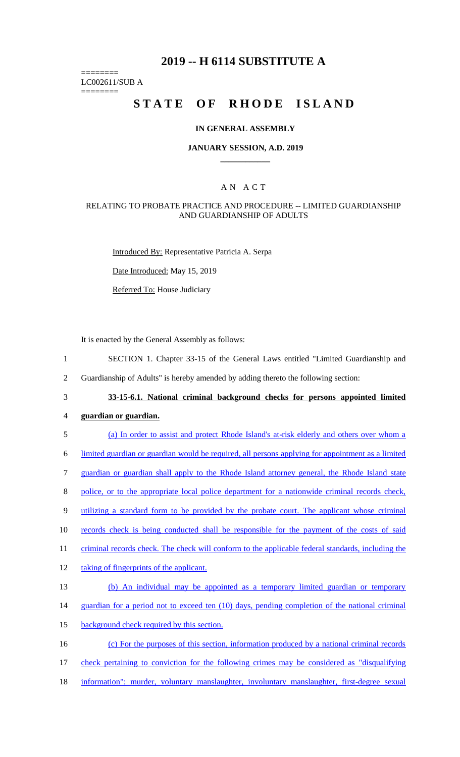# **2019 -- H 6114 SUBSTITUTE A**

======== LC002611/SUB A ========

# STATE OF RHODE ISLAND

#### **IN GENERAL ASSEMBLY**

#### **JANUARY SESSION, A.D. 2019 \_\_\_\_\_\_\_\_\_\_\_\_**

### A N A C T

#### RELATING TO PROBATE PRACTICE AND PROCEDURE -- LIMITED GUARDIANSHIP AND GUARDIANSHIP OF ADULTS

Introduced By: Representative Patricia A. Serpa

Date Introduced: May 15, 2019

Referred To: House Judiciary

It is enacted by the General Assembly as follows:

- 1 SECTION 1. Chapter 33-15 of the General Laws entitled "Limited Guardianship and
- 2 Guardianship of Adults" is hereby amended by adding thereto the following section:
- 

## 3 **33-15-6.1. National criminal background checks for persons appointed limited**

- 4 **guardian or guardian.**
- 5 (a) In order to assist and protect Rhode Island's at-risk elderly and others over whom a

6 limited guardian or guardian would be required, all persons applying for appointment as a limited

7 guardian or guardian shall apply to the Rhode Island attorney general, the Rhode Island state

8 police, or to the appropriate local police department for a nationwide criminal records check,

9 utilizing a standard form to be provided by the probate court. The applicant whose criminal

10 records check is being conducted shall be responsible for the payment of the costs of said

11 criminal records check. The check will conform to the applicable federal standards, including the

12 taking of fingerprints of the applicant.

13 (b) An individual may be appointed as a temporary limited guardian or temporary

- 14 guardian for a period not to exceed ten (10) days, pending completion of the national criminal
- 15 background check required by this section.
- 16 (c) For the purposes of this section, information produced by a national criminal records
- 17 check pertaining to conviction for the following crimes may be considered as "disqualifying
- 18 information": murder, voluntary manslaughter, involuntary manslaughter, first-degree sexual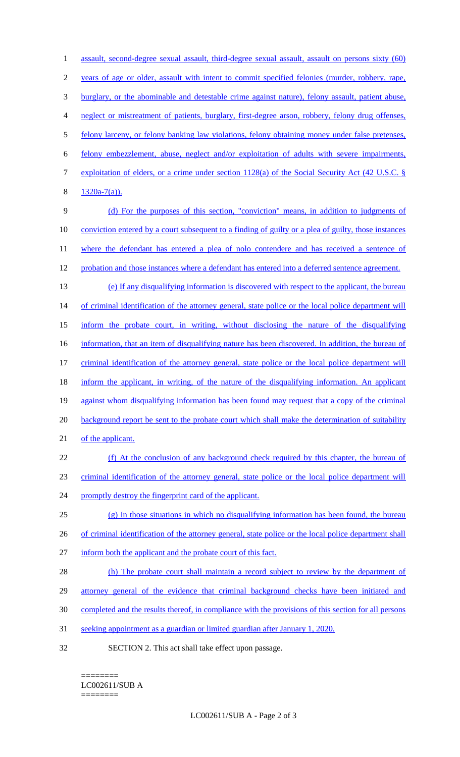assault, second-degree sexual assault, third-degree sexual assault, assault on persons sixty (60) years of age or older, assault with intent to commit specified felonies (murder, robbery, rape, burglary, or the abominable and detestable crime against nature), felony assault, patient abuse, neglect or mistreatment of patients, burglary, first-degree arson, robbery, felony drug offenses, felony larceny, or felony banking law violations, felony obtaining money under false pretenses, felony embezzlement, abuse, neglect and/or exploitation of adults with severe impairments, exploitation of elders, or a crime under section 1128(a) of the Social Security Act (42 U.S.C. § 1320a-7(a)). (d) For the purposes of this section, "conviction" means, in addition to judgments of conviction entered by a court subsequent to a finding of guilty or a plea of guilty, those instances 11 where the defendant has entered a plea of nolo contendere and has received a sentence of 12 probation and those instances where a defendant has entered into a deferred sentence agreement. (e) If any disqualifying information is discovered with respect to the applicant, the bureau 14 of criminal identification of the attorney general, state police or the local police department will inform the probate court, in writing, without disclosing the nature of the disqualifying 16 information, that an item of disqualifying nature has been discovered. In addition, the bureau of criminal identification of the attorney general, state police or the local police department will 18 inform the applicant, in writing, of the nature of the disqualifying information. An applicant against whom disqualifying information has been found may request that a copy of the criminal 20 background report be sent to the probate court which shall make the determination of suitability 21 of the applicant. 22 (f) At the conclusion of any background check required by this chapter, the bureau of criminal identification of the attorney general, state police or the local police department will 24 promptly destroy the fingerprint card of the applicant. (g) In those situations in which no disqualifying information has been found, the bureau 26 of criminal identification of the attorney general, state police or the local police department shall inform both the applicant and the probate court of this fact. 28 (h) The probate court shall maintain a record subject to review by the department of attorney general of the evidence that criminal background checks have been initiated and completed and the results thereof, in compliance with the provisions of this section for all persons seeking appointment as a guardian or limited guardian after January 1, 2020. SECTION 2. This act shall take effect upon passage.

========

========

LC002611/SUB A